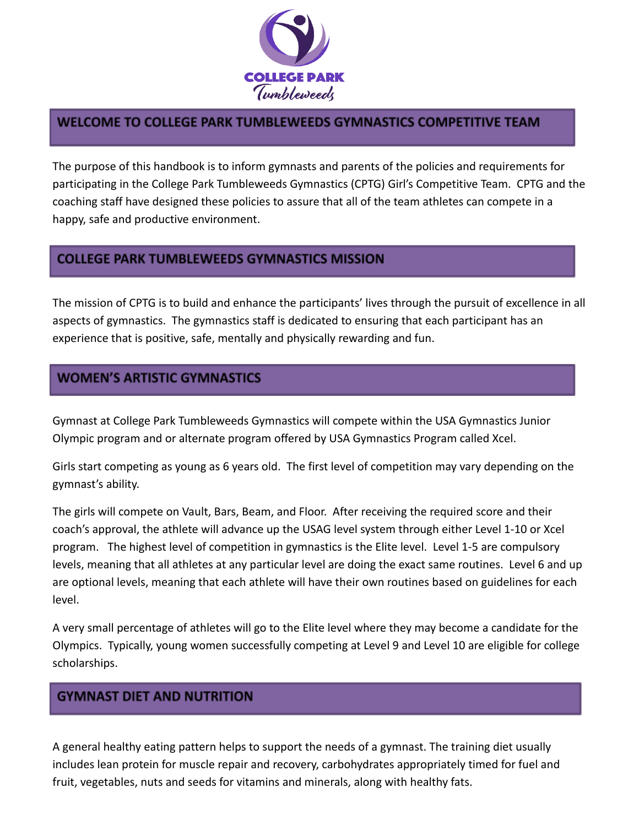

# WELCOME TO COLLEGE PARK TUMBLEWEEDS GYMNASTICS COMPETITIVE TEAM

The purpose of this handbook is to inform gymnasts and parents of the policies and requirements for participating in the College Park Tumbleweeds Gymnastics (CPTG) Girl's Competitive Team. CPTG and the coaching staff have designed these policies to assure that all of the team athletes can compete in a happy, safe and productive environment.

# **COLLEGE PARK TUMBLEWEEDS GYMNASTICS MISSION**

The mission of CPTG is to build and enhance the participants' lives through the pursuit of excellence in all aspects of gymnastics. The gymnastics staff is dedicated to ensuring that each participant has an experience that is positive, safe, mentally and physically rewarding and fun.

# **WOMEN'S ARTISTIC GYMNASTICS**

Gymnast at College Park Tumbleweeds Gymnastics will compete within the USA Gymnastics Junior Olympic program and or alternate program offered by USA Gymnastics Program called Xcel.

Girls start competing as young as 6 years old. The first level of competition may vary depending on the gymnast's ability.

The girls will compete on Vault, Bars, Beam, and Floor. After receiving the required score and their coach's approval, the athlete will advance up the USAG level system through either Level 1-10 or Xcel program. The highest level of competition in gymnastics is the Elite level. Level 1-5 are compulsory levels, meaning that all athletes at any particular level are doing the exact same routines. Level 6 and up are optional levels, meaning that each athlete will have their own routines based on guidelines for each level.

A very small percentage of athletes will go to the Elite level where they may become a candidate for the Olympics. Typically, young women successfully competing at Level 9 and Level 10 are eligible for college scholarships.

# **GYMNAST DIET AND NUTRITION**

A general healthy eating pattern helps to support the needs of a gymnast. The training diet usually includes lean protein for muscle repair and recovery, carbohydrates appropriately timed for fuel and fruit, vegetables, nuts and seeds for vitamins and minerals, along with healthy fats.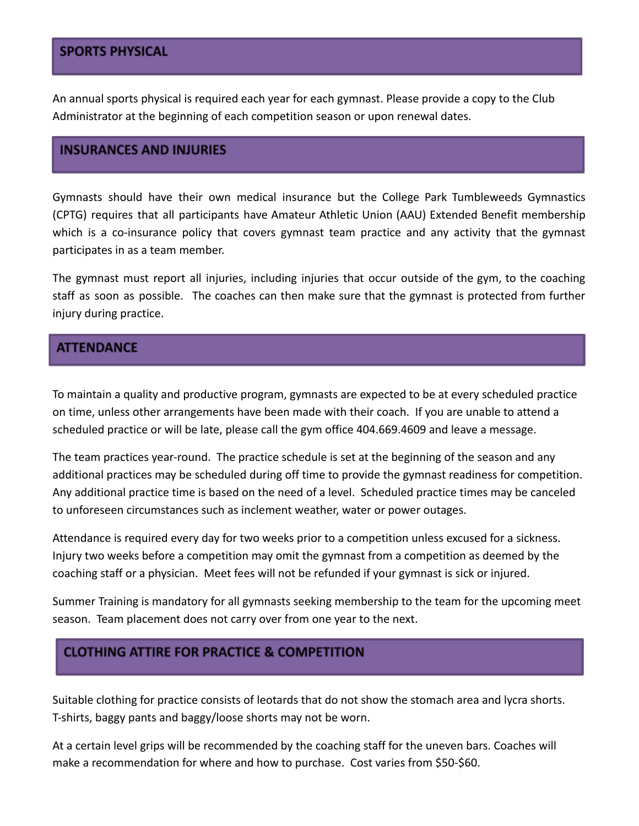## **SPORTS PHYSICAL**

An annual sports physical is required each year for each gymnast. Please provide a copy to the Club Administrator at the beginning of each competition season or upon renewal dates.

#### **INSURANCES AND INJURIES**

Gymnasts should have their own medical insurance but the College Park Tumbleweeds Gymnastics (CPTG) requires that all participants have Amateur Athletic Union (AAU) Extended Benefit membership which is a co-insurance policy that covers gymnast team practice and any activity that the gymnast participates in as a team member.

The gymnast must report all injuries, including injuries that occur outside of the gym, to the coaching staff as soon as possible. The coaches can then make sure that the gymnast is protected from further injury during practice.

## **ATTENDANCE**

To maintain a quality and productive program, gymnasts are expected to be at every scheduled practice on time, unless other arrangements have been made with their coach. If you are unable to attend a scheduled practice or will be late, please call the gym office 404.669.4609 and leave a message.

The team practices year-round. The practice schedule is set at the beginning of the season and any additional practices may be scheduled during off time to provide the gymnast readiness for competition. Any additional practice time is based on the need of a level. Scheduled practice times may be canceled to unforeseen circumstances such as inclement weather, water or power outages.

Attendance is required every day for two weeks prior to a competition unless excused for a sickness. Injury two weeks before a competition may omit the gymnast from a competition as deemed by the coaching staff or a physician. Meet fees will not be refunded if your gymnast is sick or injured.

Summer Training is mandatory for all gymnasts seeking membership to the team for the upcoming meet season. Team placement does not carry over from one year to the next.

## **CLOTHING ATTIRE FOR PRACTICE & COMPETITION**

Suitable clothing for practice consists of leotards that do not show the stomach area and lycra shorts. T-shirts, baggy pants and baggy/loose shorts may not be worn.

At a certain level grips will be recommended by the coaching staff for the uneven bars. Coaches will make a recommendation for where and how to purchase. Cost varies from \$50-\$60.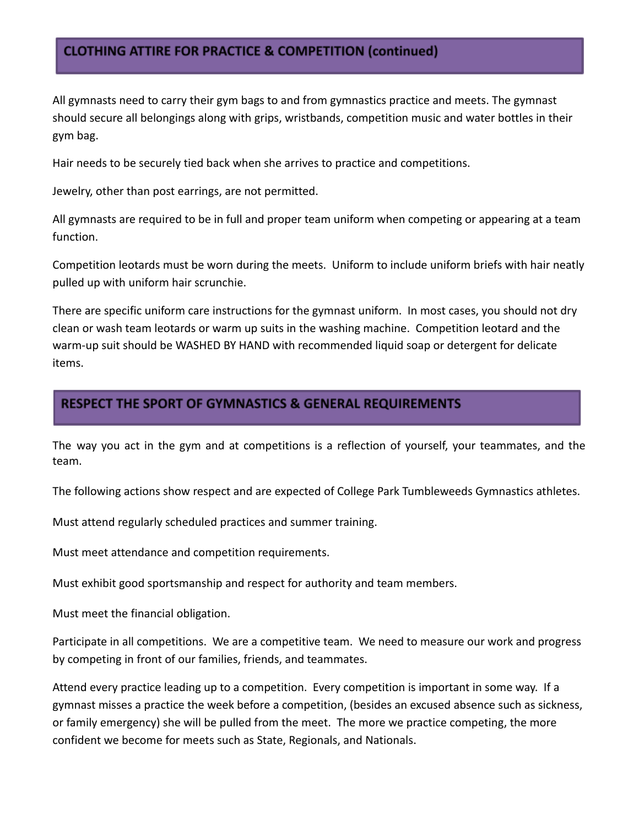## **CLOTHING ATTIRE FOR PRACTICE & COMPETITION (continued)**

All gymnasts need to carry their gym bags to and from gymnastics practice and meets. The gymnast should secure all belongings along with grips, wristbands, competition music and water bottles in their gym bag.

Hair needs to be securely tied back when she arrives to practice and competitions.

Jewelry, other than post earrings, are not permitted.

All gymnasts are required to be in full and proper team uniform when competing or appearing at a team function.

Competition leotards must be worn during the meets. Uniform to include uniform briefs with hair neatly pulled up with uniform hair scrunchie.

There are specific uniform care instructions for the gymnast uniform. In most cases, you should not dry clean or wash team leotards or warm up suits in the washing machine. Competition leotard and the warm-up suit should be WASHED BY HAND with recommended liquid soap or detergent for delicate items.

## **RESPECT THE SPORT OF GYMNASTICS & GENERAL REQUIREMENTS**

The way you act in the gym and at competitions is a reflection of yourself, your teammates, and the team.

The following actions show respect and are expected of College Park Tumbleweeds Gymnastics athletes.

Must attend regularly scheduled practices and summer training.

Must meet attendance and competition requirements.

Must exhibit good sportsmanship and respect for authority and team members.

Must meet the financial obligation.

Participate in all competitions. We are a competitive team. We need to measure our work and progress by competing in front of our families, friends, and teammates.

Attend every practice leading up to a competition. Every competition is important in some way. If a gymnast misses a practice the week before a competition, (besides an excused absence such as sickness, or family emergency) she will be pulled from the meet. The more we practice competing, the more confident we become for meets such as State, Regionals, and Nationals.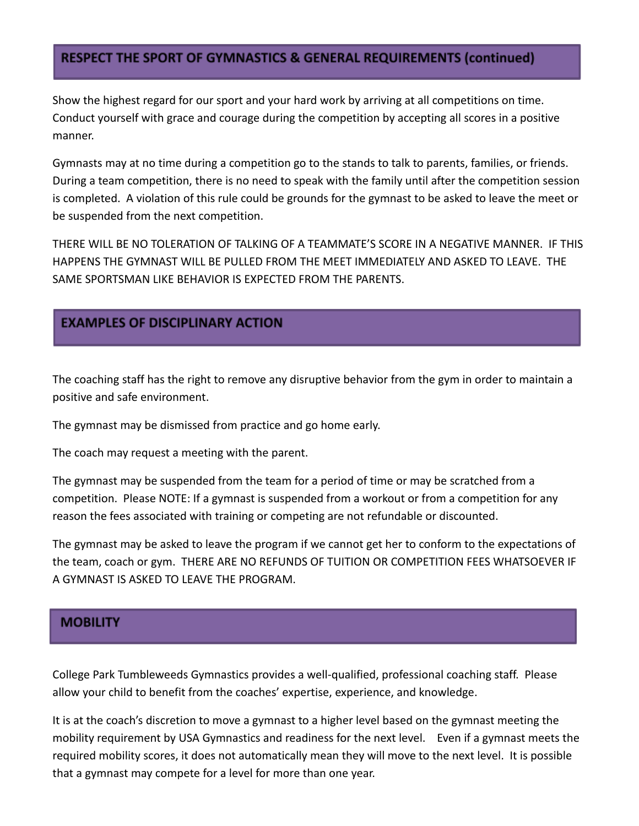## **RESPECT THE SPORT OF GYMNASTICS & GENERAL REQUIREMENTS (continued)**

Show the highest regard for our sport and your hard work by arriving at all competitions on time. Conduct yourself with grace and courage during the competition by accepting all scores in a positive manner.

Gymnasts may at no time during a competition go to the stands to talk to parents, families, or friends. During a team competition, there is no need to speak with the family until after the competition session is completed. A violation of this rule could be grounds for the gymnast to be asked to leave the meet or be suspended from the next competition.

THERE WILL BE NO TOLERATION OF TALKING OF A TEAMMATE'S SCORE IN A NEGATIVE MANNER. IF THIS HAPPENS THE GYMNAST WILL BE PULLED FROM THE MEET IMMEDIATELY AND ASKED TO LEAVE. THE SAME SPORTSMAN LIKE BEHAVIOR IS EXPECTED FROM THE PARENTS.

# **EXAMPLES OF DISCIPLINARY ACTION**

The coaching staff has the right to remove any disruptive behavior from the gym in order to maintain a positive and safe environment.

The gymnast may be dismissed from practice and go home early.

The coach may request a meeting with the parent.

The gymnast may be suspended from the team for a period of time or may be scratched from a competition. Please NOTE: If a gymnast is suspended from a workout or from a competition for any reason the fees associated with training or competing are not refundable or discounted.

The gymnast may be asked to leave the program if we cannot get her to conform to the expectations of the team, coach or gym. THERE ARE NO REFUNDS OF TUITION OR COMPETITION FEES WHATSOEVER IF A GYMNAST IS ASKED TO LEAVE THE PROGRAM.

### **MOBILITY**

College Park Tumbleweeds Gymnastics provides a well-qualified, professional coaching staff. Please allow your child to benefit from the coaches' expertise, experience, and knowledge.

It is at the coach's discretion to move a gymnast to a higher level based on the gymnast meeting the mobility requirement by USA Gymnastics and readiness for the next level. Even if a gymnast meets the required mobility scores, it does not automatically mean they will move to the next level. It is possible that a gymnast may compete for a level for more than one year.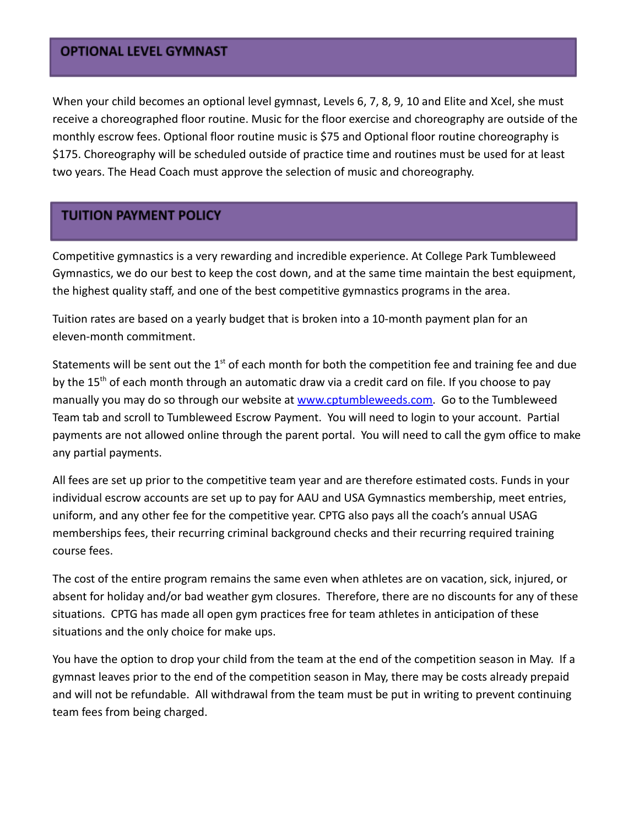#### **OPTIONAL LEVEL GYMNAST**

When your child becomes an optional level gymnast, Levels 6, 7, 8, 9, 10 and Elite and Xcel, she must receive a choreographed floor routine. Music for the floor exercise and choreography are outside of the monthly escrow fees. Optional floor routine music is \$75 and Optional floor routine choreography is \$175. Choreography will be scheduled outside of practice time and routines must be used for at least two years. The Head Coach must approve the selection of music and choreography.

# **TUITION PAYMENT POLICY**

Competitive gymnastics is a very rewarding and incredible experience. At College Park Tumbleweed Gymnastics, we do our best to keep the cost down, and at the same time maintain the best equipment, the highest quality staff, and one of the best competitive gymnastics programs in the area.

Tuition rates are based on a yearly budget that is broken into a 10-month payment plan for an eleven-month commitment.

Statements will be sent out the  $1<sup>st</sup>$  of each month for both the competition fee and training fee and due by the 15<sup>th</sup> of each month through an automatic draw via a credit card on file. If you choose to pay manually you may do so through our website at [www.cptumbleweeds.com.](http://www.cptumbleweeds.com) Go to the Tumbleweed Team tab and scroll to Tumbleweed Escrow Payment. You will need to login to your account. Partial payments are not allowed online through the parent portal. You will need to call the gym office to make any partial payments.

All fees are set up prior to the competitive team year and are therefore estimated costs. Funds in your individual escrow accounts are set up to pay for AAU and USA Gymnastics membership, meet entries, uniform, and any other fee for the competitive year. CPTG also pays all the coach's annual USAG memberships fees, their recurring criminal background checks and their recurring required training course fees.

The cost of the entire program remains the same even when athletes are on vacation, sick, injured, or absent for holiday and/or bad weather gym closures. Therefore, there are no discounts for any of these situations. CPTG has made all open gym practices free for team athletes in anticipation of these situations and the only choice for make ups.

You have the option to drop your child from the team at the end of the competition season in May. If a gymnast leaves prior to the end of the competition season in May, there may be costs already prepaid and will not be refundable. All withdrawal from the team must be put in writing to prevent continuing team fees from being charged.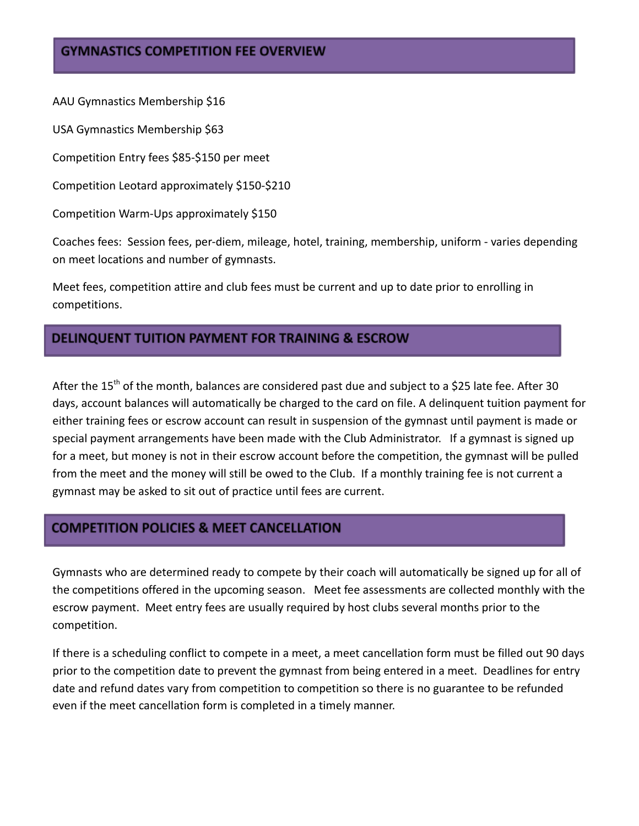## **GYMNASTICS COMPETITION FEE OVERVIEW**

AAU Gymnastics Membership \$16

USA Gymnastics Membership \$63

Competition Entry fees \$85-\$150 per meet

Competition Leotard approximately \$150-\$210

Competition Warm-Ups approximately \$150

Coaches fees: Session fees, per-diem, mileage, hotel, training, membership, uniform - varies depending on meet locations and number of gymnasts.

Meet fees, competition attire and club fees must be current and up to date prior to enrolling in competitions.

## **DELINQUENT TUITION PAYMENT FOR TRAINING & ESCROW**

After the 15<sup>th</sup> of the month, balances are considered past due and subject to a \$25 late fee. After 30 days, account balances will automatically be charged to the card on file. A delinquent tuition payment for either training fees or escrow account can result in suspension of the gymnast until payment is made or special payment arrangements have been made with the Club Administrator. If a gymnast is signed up for a meet, but money is not in their escrow account before the competition, the gymnast will be pulled from the meet and the money will still be owed to the Club. If a monthly training fee is not current a gymnast may be asked to sit out of practice until fees are current.

## **COMPETITION POLICIES & MEET CANCELLATION**

Gymnasts who are determined ready to compete by their coach will automatically be signed up for all of the competitions offered in the upcoming season. Meet fee assessments are collected monthly with the escrow payment. Meet entry fees are usually required by host clubs several months prior to the competition.

If there is a scheduling conflict to compete in a meet, a meet cancellation form must be filled out 90 days prior to the competition date to prevent the gymnast from being entered in a meet. Deadlines for entry date and refund dates vary from competition to competition so there is no guarantee to be refunded even if the meet cancellation form is completed in a timely manner.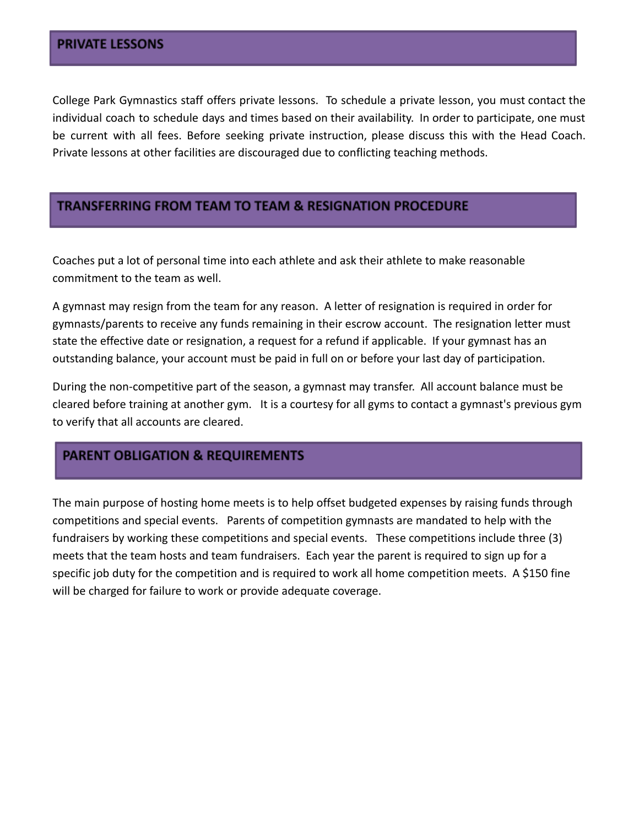College Park Gymnastics staff offers private lessons. To schedule a private lesson, you must contact the individual coach to schedule days and times based on their availability. In order to participate, one must be current with all fees. Before seeking private instruction, please discuss this with the Head Coach. Private lessons at other facilities are discouraged due to conflicting teaching methods.

### **TRANSFERRING FROM TEAM TO TEAM & RESIGNATION PROCEDURE**

Coaches put a lot of personal time into each athlete and ask their athlete to make reasonable commitment to the team as well.

A gymnast may resign from the team for any reason. A letter of resignation is required in order for gymnasts/parents to receive any funds remaining in their escrow account. The resignation letter must state the effective date or resignation, a request for a refund if applicable. If your gymnast has an outstanding balance, your account must be paid in full on or before your last day of participation.

During the non-competitive part of the season, a gymnast may transfer. All account balance must be cleared before training at another gym. It is a courtesy for all gyms to contact a gymnast's previous gym to verify that all accounts are cleared.

## **PARENT OBLIGATION & REQUIREMENTS**

The main purpose of hosting home meets is to help offset budgeted expenses by raising funds through competitions and special events. Parents of competition gymnasts are mandated to help with the fundraisers by working these competitions and special events. These competitions include three (3) meets that the team hosts and team fundraisers. Each year the parent is required to sign up for a specific job duty for the competition and is required to work all home competition meets. A \$150 fine will be charged for failure to work or provide adequate coverage.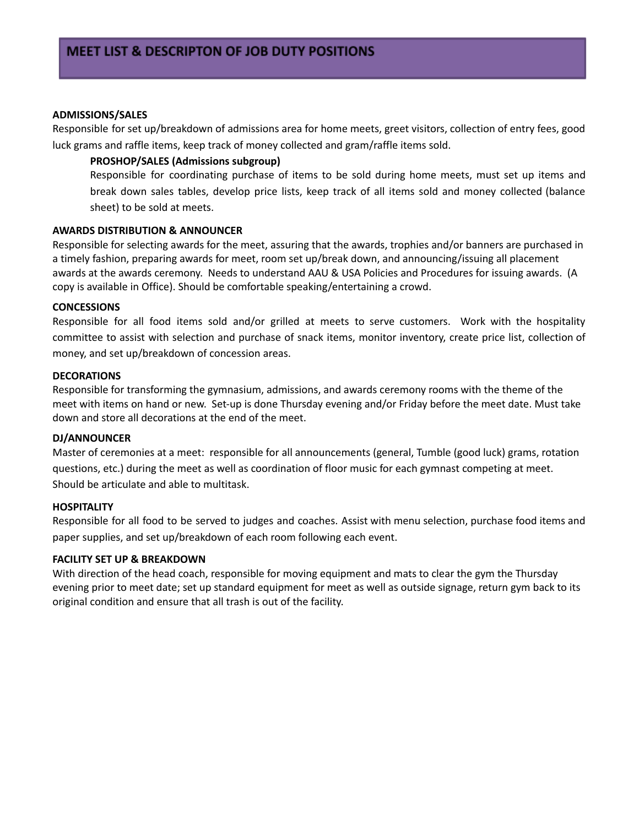#### **ADMISSIONS/SALES**

Responsible for set up/breakdown of admissions area for home meets, greet visitors, collection of entry fees, good luck grams and raffle items, keep track of money collected and gram/raffle items sold.

#### **PROSHOP/SALES (Admissions subgroup)**

Responsible for coordinating purchase of items to be sold during home meets, must set up items and break down sales tables, develop price lists, keep track of all items sold and money collected (balance sheet) to be sold at meets.

#### **AWARDS DISTRIBUTION & ANNOUNCER**

Responsible for selecting awards for the meet, assuring that the awards, trophies and/or banners are purchased in a timely fashion, preparing awards for meet, room set up/break down, and announcing/issuing all placement awards at the awards ceremony. Needs to understand AAU & USA Policies and Procedures for issuing awards. (A copy is available in Office). Should be comfortable speaking/entertaining a crowd.

#### **CONCESSIONS**

Responsible for all food items sold and/or grilled at meets to serve customers. Work with the hospitality committee to assist with selection and purchase of snack items, monitor inventory, create price list, collection of money, and set up/breakdown of concession areas.

#### **DECORATIONS**

Responsible for transforming the gymnasium, admissions, and awards ceremony rooms with the theme of the meet with items on hand or new. Set-up is done Thursday evening and/or Friday before the meet date. Must take down and store all decorations at the end of the meet.

#### **DJ/ANNOUNCER**

Master of ceremonies at a meet: responsible for all announcements (general, Tumble (good luck) grams, rotation questions, etc.) during the meet as well as coordination of floor music for each gymnast competing at meet. Should be articulate and able to multitask.

#### **HOSPITALITY**

Responsible for all food to be served to judges and coaches. Assist with menu selection, purchase food items and paper supplies, and set up/breakdown of each room following each event.

#### **FACILITY SET UP & BREAKDOWN**

With direction of the head coach, responsible for moving equipment and mats to clear the gym the Thursday evening prior to meet date; set up standard equipment for meet as well as outside signage, return gym back to its original condition and ensure that all trash is out of the facility.